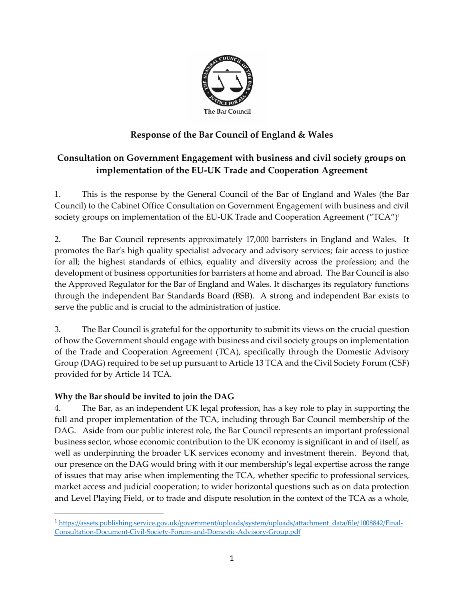

## **Response of the Bar Council of England & Wales**

## **Consultation on Government Engagement with business and civil society groups on implementation of the EU-UK Trade and Cooperation Agreement**

1. This is the response by the General Council of the Bar of England and Wales (the Bar Council) to the Cabinet Office Consultation on Government Engagement with business and civil society groups on implementation of the EU-UK Trade and Cooperation Agreement ("TCA")<sup>1</sup>

2. The Bar Council represents approximately 17,000 barristers in England and Wales. It promotes the Bar's high quality specialist advocacy and advisory services; fair access to justice for all; the highest standards of ethics, equality and diversity across the profession; and the development of business opportunities for barristers at home and abroad. The Bar Council is also the Approved Regulator for the Bar of England and Wales. It discharges its regulatory functions through the independent Bar Standards Board (BSB). A strong and independent Bar exists to serve the public and is crucial to the administration of justice.

3. The Bar Council is grateful for the opportunity to submit its views on the crucial question of how the Government should engage with business and civil society groups on implementation of the Trade and Cooperation Agreement (TCA), specifically through the Domestic Advisory Group (DAG) required to be set up pursuant to Article 13 TCA and the Civil Society Forum (CSF) provided for by Article 14 TCA.

## **Why the Bar should be invited to join the DAG**

4. The Bar, as an independent UK legal profession, has a key role to play in supporting the full and proper implementation of the TCA, including through Bar Council membership of the DAG. Aside from our public interest role, the Bar Council represents an important professional business sector, whose economic contribution to the UK economy is significant in and of itself, as well as underpinning the broader UK services economy and investment therein. Beyond that, our presence on the DAG would bring with it our membership's legal expertise across the range of issues that may arise when implementing the TCA, whether specific to professional services, market access and judicial cooperation; to wider horizontal questions such as on data protection and Level Playing Field, or to trade and dispute resolution in the context of the TCA as a whole,

<sup>1</sup> [https://assets.publishing.service.gov.uk/government/uploads/system/uploads/attachment\\_data/file/1008842/Final-](https://assets.publishing.service.gov.uk/government/uploads/system/uploads/attachment_data/file/1008842/Final-Consultation-Document-Civil-Society-Forum-and-Domestic-Advisory-Group.pdf)[Consultation-Document-Civil-Society-Forum-and-Domestic-Advisory-Group.pdf](https://assets.publishing.service.gov.uk/government/uploads/system/uploads/attachment_data/file/1008842/Final-Consultation-Document-Civil-Society-Forum-and-Domestic-Advisory-Group.pdf)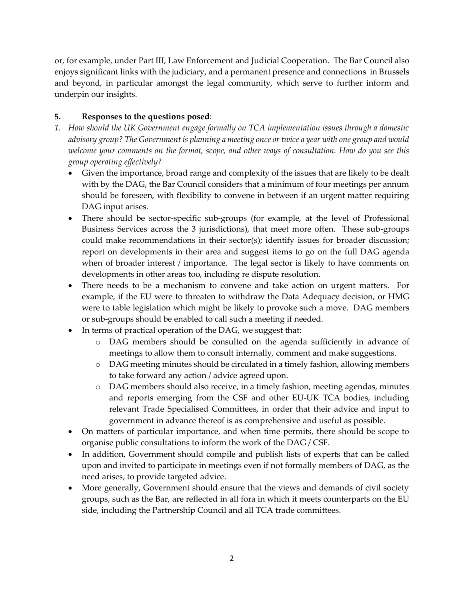or, for example, under Part III, Law Enforcement and Judicial Cooperation. The Bar Council also enjoys significant links with the judiciary, and a permanent presence and connections in Brussels and beyond, in particular amongst the legal community, which serve to further inform and underpin our insights.

## **5. Responses to the questions posed**:

- *1. How should the UK Government engage formally on TCA implementation issues through a domestic advisory group? The Government is planning a meeting once or twice a year with one group and would welcome your comments on the format, scope, and other ways of consultation. How do you see this group operating effectively?*
	- Given the importance, broad range and complexity of the issues that are likely to be dealt with by the DAG, the Bar Council considers that a minimum of four meetings per annum should be foreseen, with flexibility to convene in between if an urgent matter requiring DAG input arises.
	- There should be sector-specific sub-groups (for example, at the level of Professional Business Services across the 3 jurisdictions), that meet more often. These sub-groups could make recommendations in their sector(s); identify issues for broader discussion; report on developments in their area and suggest items to go on the full DAG agenda when of broader interest / importance. The legal sector is likely to have comments on developments in other areas too, including re dispute resolution.
	- There needs to be a mechanism to convene and take action on urgent matters. For example, if the EU were to threaten to withdraw the Data Adequacy decision, or HMG were to table legislation which might be likely to provoke such a move. DAG members or sub-groups should be enabled to call such a meeting if needed.
	- In terms of practical operation of the DAG, we suggest that:
		- o DAG members should be consulted on the agenda sufficiently in advance of meetings to allow them to consult internally, comment and make suggestions.
		- o DAG meeting minutes should be circulated in a timely fashion, allowing members to take forward any action / advice agreed upon.
		- o DAG members should also receive, in a timely fashion, meeting agendas, minutes and reports emerging from the CSF and other EU-UK TCA bodies, including relevant Trade Specialised Committees, in order that their advice and input to government in advance thereof is as comprehensive and useful as possible.
	- On matters of particular importance, and when time permits, there should be scope to organise public consultations to inform the work of the DAG / CSF.
	- In addition, Government should compile and publish lists of experts that can be called upon and invited to participate in meetings even if not formally members of DAG, as the need arises, to provide targeted advice.
	- More generally, Government should ensure that the views and demands of civil society groups, such as the Bar, are reflected in all fora in which it meets counterparts on the EU side, including the Partnership Council and all TCA trade committees.